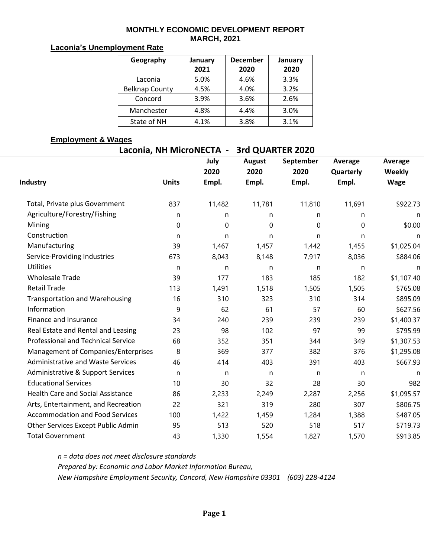#### **MONTHLY ECONOMIC DEVELOPMENT REPORT MARCH, 2021**

### **Laconia's Unemployment Rate**

| Geography             | January<br>2021 | <b>December</b><br>2020 | January<br>2020 |
|-----------------------|-----------------|-------------------------|-----------------|
| Laconia               | 5.0%            | 4.6%                    | 3.3%            |
| <b>Belknap County</b> | 4.5%            | 4.0%                    | 3.2%            |
| Concord               | 3.9%            | 3.6%                    | 2.6%            |
| Manchester            | 4.8%            | 4.4%                    | 3.0%            |
| State of NH           | 4.1%            | 3.8%                    | 3.1%            |

#### **Employment & Wages**

|                                          |              | Laconia, NH MicroNECTA - | 3rd QUARTER 2020 |           |           |             |
|------------------------------------------|--------------|--------------------------|------------------|-----------|-----------|-------------|
|                                          |              | July                     | <b>August</b>    | September | Average   | Average     |
|                                          |              | 2020                     | 2020             | 2020      | Quarterly | Weekly      |
| Industry                                 | <b>Units</b> | Empl.                    | Empl.            | Empl.     | Empl.     | <b>Wage</b> |
| Total, Private plus Government           | 837          | 11,482                   | 11,781           | 11,810    | 11,691    | \$922.73    |
| Agriculture/Forestry/Fishing             | n            | n                        | n                | n         | n         | n           |
| Mining                                   | $\Omega$     | $\mathbf 0$              | $\Omega$         | $\theta$  | $\Omega$  | \$0.00      |
| Construction                             | n            | n                        | n                | n         | n         | n           |
| Manufacturing                            | 39           | 1,467                    | 1,457            | 1,442     | 1,455     | \$1,025.04  |
| Service-Providing Industries             | 673          | 8,043                    | 8,148            | 7,917     | 8,036     | \$884.06    |
| <b>Utilities</b>                         | n            | n                        | n                | n         | n         | n           |
| <b>Wholesale Trade</b>                   | 39           | 177                      | 183              | 185       | 182       | \$1,107.40  |
| <b>Retail Trade</b>                      | 113          | 1,491                    | 1,518            | 1,505     | 1,505     | \$765.08    |
| <b>Transportation and Warehousing</b>    | 16           | 310                      | 323              | 310       | 314       | \$895.09    |
| Information                              | 9            | 62                       | 61               | 57        | 60        | \$627.56    |
| Finance and Insurance                    | 34           | 240                      | 239              | 239       | 239       | \$1,400.37  |
| Real Estate and Rental and Leasing       | 23           | 98                       | 102              | 97        | 99        | \$795.99    |
| Professional and Technical Service       | 68           | 352                      | 351              | 344       | 349       | \$1,307.53  |
| Management of Companies/Enterprises      | 8            | 369                      | 377              | 382       | 376       | \$1,295.08  |
| <b>Administrative and Waste Services</b> | 46           | 414                      | 403              | 391       | 403       | \$667.93    |
| Administrative & Support Services        | $\mathsf{n}$ | n                        | n                | n         | n         | n           |
| <b>Educational Services</b>              | 10           | 30                       | 32               | 28        | 30        | 982         |
| <b>Health Care and Social Assistance</b> | 86           | 2,233                    | 2,249            | 2,287     | 2,256     | \$1,095.57  |
| Arts, Entertainment, and Recreation      | 22           | 321                      | 319              | 280       | 307       | \$806.75    |
| <b>Accommodation and Food Services</b>   | 100          | 1,422                    | 1,459            | 1,284     | 1,388     | \$487.05    |
| Other Services Except Public Admin       | 95           | 513                      | 520              | 518       | 517       | \$719.73    |
| <b>Total Government</b>                  | 43           | 1,330                    | 1,554            | 1,827     | 1,570     | \$913.85    |

*n = data does not meet disclosure standards Prepared by: Economic and Labor Market Information Bureau, New Hampshire Employment Security, Concord, New Hampshire 03301 (603) 228-4124*